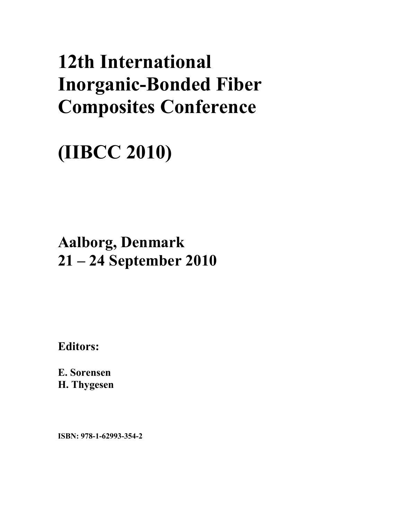# **12th International Inorganic-Bonded Fiber Composites Conference**

## **(IIBCC 2010)**

### **Aalborg, Denmark 21 – 24 September 2010**

**Editors:** 

**E. Sorensen H. Thygesen** 

**ISBN: 978-1-62993-354-2**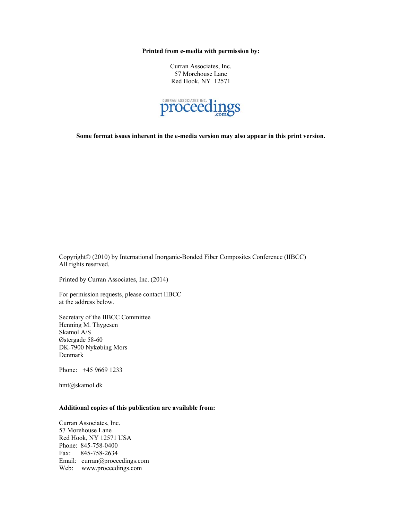**Printed from e-media with permission by:** 

Curran Associates, Inc. 57 Morehouse Lane Red Hook, NY 12571



**Some format issues inherent in the e-media version may also appear in this print version.** 

Copyright© (2010) by International Inorganic-Bonded Fiber Composites Conference (IIBCC) All rights reserved.

Printed by Curran Associates, Inc. (2014)

For permission requests, please contact IIBCC at the address below.

Secretary of the IIBCC Committee Henning M. Thygesen Skamol A/S Østergade 58-60 DK-7900 Nykøbing Mors Denmark

Phone: +45 9669 1233

hmt@skamol.dk

#### **Additional copies of this publication are available from:**

Curran Associates, Inc. 57 Morehouse Lane Red Hook, NY 12571 USA Phone: 845-758-0400 Fax: 845-758-2634 Email: curran@proceedings.com Web: www.proceedings.com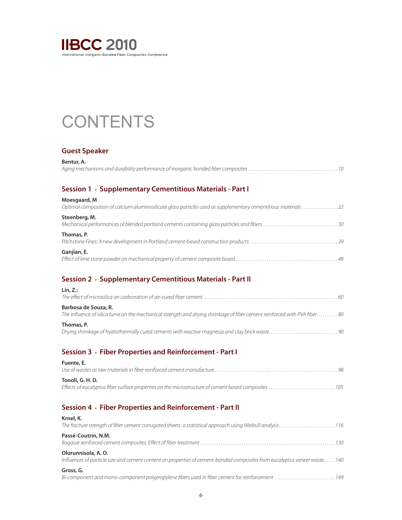

### **CONTENTS**

#### **Guest Speaker**

| Bentur, A. |  |
|------------|--|
|            |  |

#### **Session 1 . Supplementary Cementitious Materials - Part I**

| Moesgaard, M<br>Optimal composition of calcium aluminosilicate glass particles used as supplementary cementitious materials 22 |
|--------------------------------------------------------------------------------------------------------------------------------|
| Steenberg, M.                                                                                                                  |
| Thomas, P.                                                                                                                     |
| Ganjian, E.                                                                                                                    |

#### **Session 2 . Supplementary Cementitious Materials - Part II**

| Lin. Z.:                                                                                                                                         |
|--------------------------------------------------------------------------------------------------------------------------------------------------|
|                                                                                                                                                  |
| Barbosa de Souza, R.<br>The influence of silica fume on the mechanical strength and drying shrinkage of fiber cement reinforced with PVA fiber80 |
| Thomas, P.                                                                                                                                       |

#### **Session 3 . Fiber Properties and Reinforcement - Part I**

| Fuente, E.                                                                                                              |  |
|-------------------------------------------------------------------------------------------------------------------------|--|
| Tonoli, G. H. D.<br>Effects of eucalyptus fiber surface properties on the microstructure of cement based composites 105 |  |

#### **Session 4 . Fiber Properties and Reinforcement - Part II**

| Krnel, K.<br>The fracture strength of fiber cement corrugated sheets: a statistical approach using Weibull analysis116                            |
|---------------------------------------------------------------------------------------------------------------------------------------------------|
| Passé-Coutrin, N.M.                                                                                                                               |
| Olorunnisola, A. O.<br>Influences of particle size and cement content on properties of cement-bonded composites from eucalyptus veneer waste  140 |
| Gross, G.<br>Bi-component and mono-component polypropylene fibers used in fiber cement for reinforcement 149                                      |